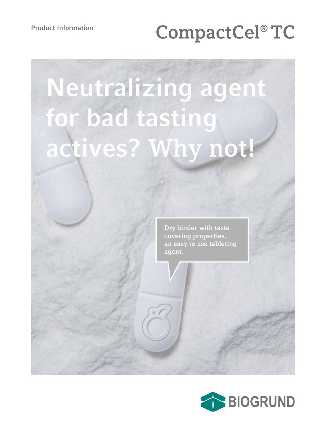# **Product Information CompactCel® TC**

# **Neutralizing agent for bad tasting actives? Why not!**

**Dry binder with taste covering properties, an easy to use tableting agent.**